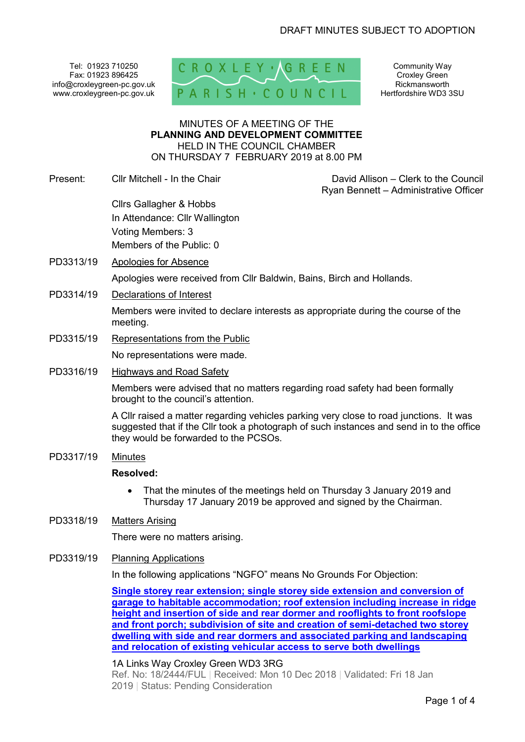Tel: 01923 710250 Fax: 01923 896425 info@croxleygreen-pc.gov.uk www.croxleygreen-pc.gov.uk



Community Way Croxley Green Rickmansworth Hertfordshire WD3 3SU

#### MINUTES OF A MEETING OF THE **PLANNING AND DEVELOPMENT COMMITTEE** HELD IN THE COUNCIL CHAMBER ON THURSDAY 7 FEBRUARY 2019 at 8.00 PM

Present: Cllr Mitchell - In the Chair David Allison – Clerk to the Council

Ryan Bennett – Administrative Officer

Cllrs Gallagher & Hobbs In Attendance: Cllr Wallington Voting Members: 3 Members of the Public: 0

- PD3313/19 Apologies for Absence Apologies were received from Cllr Baldwin, Bains, Birch and Hollands.
- PD3314/19 Declarations of Interest

Members were invited to declare interests as appropriate during the course of the meeting.

PD3315/19 Representations from the Public

No representations were made.

PD3316/19 Highways and Road Safety

Members were advised that no matters regarding road safety had been formally brought to the council's attention.

A Cllr raised a matter regarding vehicles parking very close to road junctions. It was suggested that if the Cllr took a photograph of such instances and send in to the office they would be forwarded to the PCSOs.

PD3317/19 Minutes

### **Resolved:**

• That the minutes of the meetings held on Thursday 3 January 2019 and Thursday 17 January 2019 be approved and signed by the Chairman.

### PD3318/19 Matters Arising

There were no matters arising.

### PD3319/19 Planning Applications

In the following applications "NGFO" means No Grounds For Objection:

**Single storey rear extension; single storey side extension and conversion of garage to habitable accommodation; roof extension including increase in ridge height and insertion of side and rear dormer and rooflights to front roofslope and front porch; subdivision of site and creation of semi-detached two storey dwelling with side and rear dormers and associated parking and landscaping and relocation of existing vehicular access to serve both dwellings**

### 1A Links Way Croxley Green WD3 3RG

Ref. No: 18/2444/FUL | Received: Mon 10 Dec 2018 | Validated: Fri 18 Jan 2019 | Status: Pending Consideration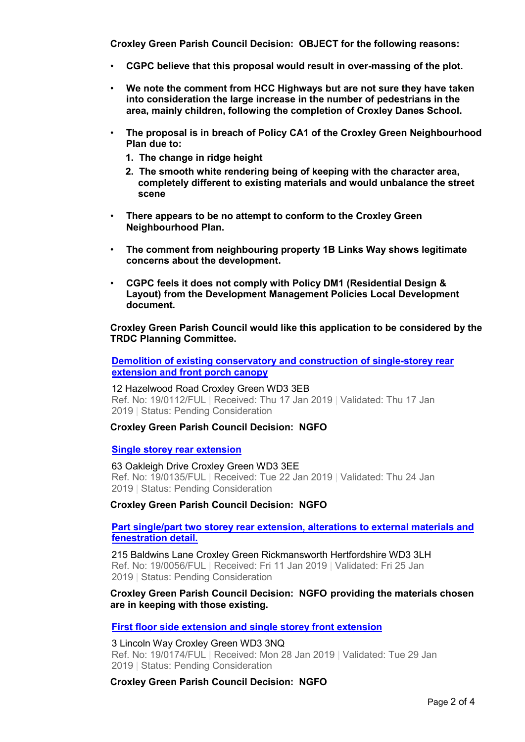**Croxley Green Parish Council Decision: OBJECT for the following reasons:**

- **CGPC believe that this proposal would result in over-massing of the plot.**
- **We note the comment from HCC Highways but are not sure they have taken into consideration the large increase in the number of pedestrians in the area, mainly children, following the completion of Croxley Danes School.**
- **The proposal is in breach of Policy CA1 of the Croxley Green Neighbourhood Plan due to:** 
	- **1. The change in ridge height**
	- **2. The smooth white rendering being of keeping with the character area, completely different to existing materials and would unbalance the street scene**
- **There appears to be no attempt to conform to the Croxley Green Neighbourhood Plan.**
- **The comment from neighbouring property 1B Links Way shows legitimate concerns about the development.**
- **CGPC feels it does not comply with Policy DM1 (Residential Design & Layout) from the Development Management Policies Local Development document.**

**Croxley Green Parish Council would like this application to be considered by the TRDC Planning Committee.** 

**Demolition of existing conservatory and construction of single-storey rear extension and front porch canopy**

12 Hazelwood Road Croxley Green WD3 3EB Ref. No: 19/0112/FUL | Received: Thu 17 Jan 2019 | Validated: Thu 17 Jan 2019 | Status: Pending Consideration

#### **Croxley Green Parish Council Decision: NGFO**

#### **Single storey rear extension**

63 Oakleigh Drive Croxley Green WD3 3EE Ref. No: 19/0135/FUL | Received: Tue 22 Jan 2019 | Validated: Thu 24 Jan 2019 | Status: Pending Consideration

#### **Croxley Green Parish Council Decision: NGFO**

**Part single/part two storey rear extension, alterations to external materials and fenestration detail.**

215 Baldwins Lane Croxley Green Rickmansworth Hertfordshire WD3 3LH Ref. No: 19/0056/FUL | Received: Fri 11 Jan 2019 | Validated: Fri 25 Jan 2019 | Status: Pending Consideration

### **Croxley Green Parish Council Decision: NGFO providing the materials chosen are in keeping with those existing.**

**First floor side extension and single storey front extension**

3 Lincoln Way Croxley Green WD3 3NQ Ref. No: 19/0174/FUL | Received: Mon 28 Jan 2019 | Validated: Tue 29 Jan 2019 | Status: Pending Consideration

**Croxley Green Parish Council Decision: NGFO**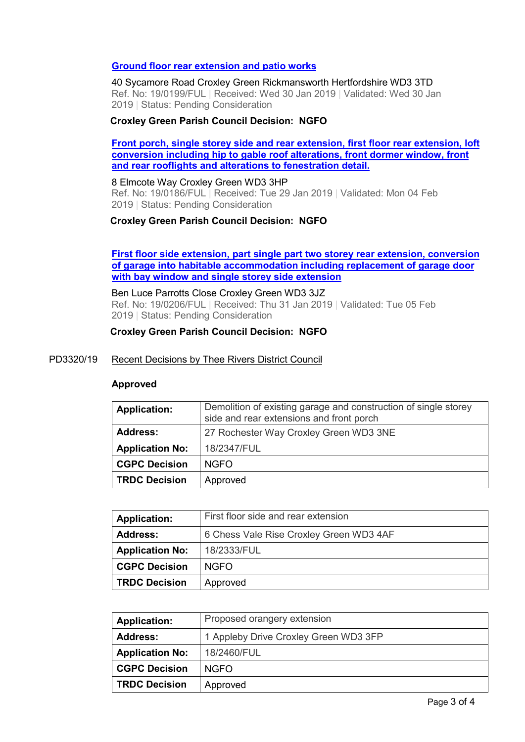### **Ground floor rear extension and patio works**

40 Sycamore Road Croxley Green Rickmansworth Hertfordshire WD3 3TD Ref. No: 19/0199/FUL | Received: Wed 30 Jan 2019 | Validated: Wed 30 Jan 2019 | Status: Pending Consideration

### **Croxley Green Parish Council Decision: NGFO**

**Front porch, single storey side and rear extension, first floor rear extension, loft conversion including hip to gable roof alterations, front dormer window, front and rear rooflights and alterations to fenestration detail.**

8 Elmcote Way Croxley Green WD3 3HP

Ref. No: 19/0186/FUL | Received: Tue 29 Jan 2019 | Validated: Mon 04 Feb 2019 | Status: Pending Consideration

### **Croxley Green Parish Council Decision: NGFO**

**First floor side extension, part single part two storey rear extension, conversion of garage into habitable accommodation including replacement of garage door with bay window and single storey side extension**

Ben Luce Parrotts Close Croxley Green WD3 3JZ Ref. No: 19/0206/FUL | Received: Thu 31 Jan 2019 | Validated: Tue 05 Feb 2019 | Status: Pending Consideration

### **Croxley Green Parish Council Decision: NGFO**

#### PD3320/19 Recent Decisions by Thee Rivers District Council

#### **Approved**

| <b>Application:</b>    | Demolition of existing garage and construction of single storey<br>side and rear extensions and front porch |
|------------------------|-------------------------------------------------------------------------------------------------------------|
| <b>Address:</b>        | 27 Rochester Way Croxley Green WD3 3NE                                                                      |
| <b>Application No:</b> | 18/2347/FUL                                                                                                 |
| <b>CGPC Decision</b>   | <b>NGFO</b>                                                                                                 |
| <b>TRDC Decision</b>   | Approved                                                                                                    |

| <b>Application:</b>    | First floor side and rear extension     |
|------------------------|-----------------------------------------|
| <b>Address:</b>        | 6 Chess Vale Rise Croxley Green WD3 4AF |
| <b>Application No:</b> | 18/2333/FUL                             |
| <b>CGPC Decision</b>   | NGFO.                                   |
| <b>TRDC Decision</b>   | Approved                                |

| <b>Application:</b>    | Proposed orangery extension           |
|------------------------|---------------------------------------|
| <b>Address:</b>        | 1 Appleby Drive Croxley Green WD3 3FP |
| <b>Application No:</b> | 18/2460/FUL                           |
| <b>CGPC Decision</b>   | NGFO.                                 |
| <b>TRDC Decision</b>   | Approved                              |